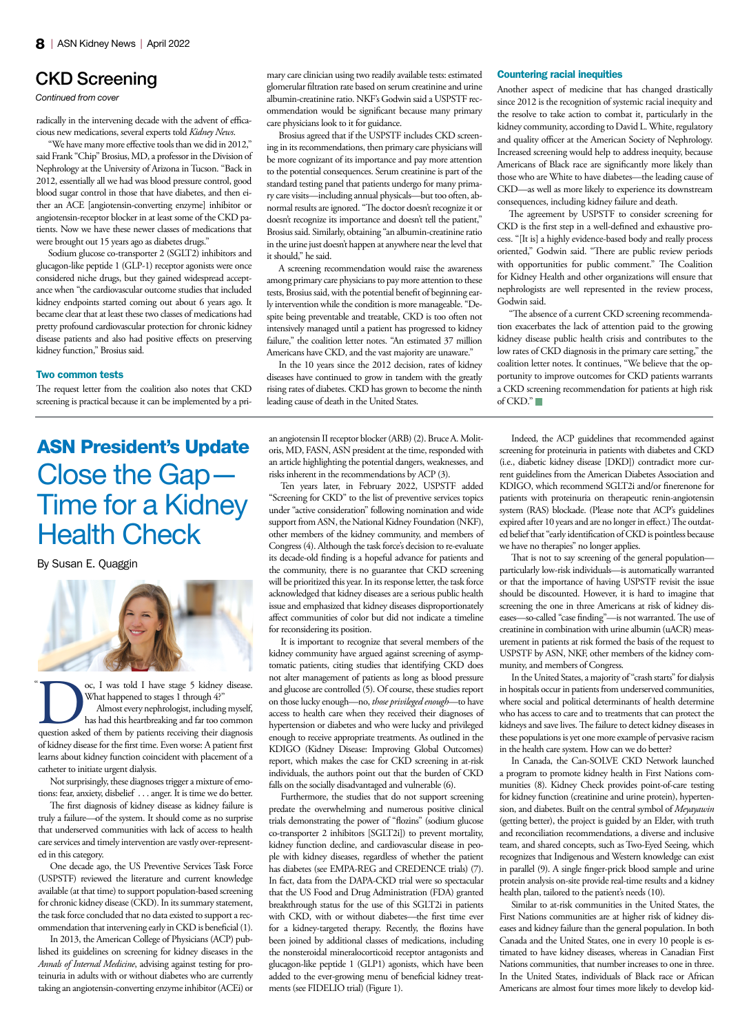## CKD Screening

*Continued from cover*

radically in the intervening decade with the advent of efficacious new medications, several experts told *Kidney News*.

"We have many more effective tools than we did in 2012," said Frank "Chip" Brosius, MD, a professor in the Division of Nephrology at the University of Arizona in Tucson. "Back in 2012, essentially all we had was blood pressure control, good blood sugar control in those that have diabetes, and then either an ACE [angiotensin-converting enzyme] inhibitor or angiotensin-receptor blocker in at least some of the CKD patients. Now we have these newer classes of medications that were brought out 15 years ago as diabetes drugs."

Sodium glucose co-transporter 2 (SGLT2) inhibitors and glucagon-like peptide 1 (GLP-1) receptor agonists were once considered niche drugs, but they gained widespread acceptance when "the cardiovascular outcome studies that included kidney endpoints started coming out about 6 years ago. It became clear that at least these two classes of medications had pretty profound cardiovascular protection for chronic kidney disease patients and also had positive effects on preserving kidney function," Brosius said.

#### Two common tests

The request letter from the coalition also notes that CKD screening is practical because it can be implemented by a pri-

# ASN President's Update Close the Gap— Time for a Kidney Health Check

By Susan E. Quaggin



oc, I was told I have stage 5 kidney disease.<br>
What happened to stages 1 through 4?"<br>
Almost every nephrologist, including myself,<br>
has had this heartbreaking and far too common<br>
question asked of them by patients receivin What happened to stages 1 through 4?" Almost every nephrologist, including myself, has had this heartbreaking and far too common of kidney disease for the first time. Even worse: A patient first learns about kidney function coincident with placement of a catheter to initiate urgent dialysis.  $\alpha$ 

Not surprisingly, these diagnoses trigger a mixture of emotions: fear, anxiety, disbelief . . . anger. It is time we do better.

The first diagnosis of kidney disease as kidney failure is truly a failure—of the system. It should come as no surprise that underserved communities with lack of access to health care services and timely intervention are vastly over-represented in this category.

One decade ago, the US Preventive Services Task Force (USPSTF) reviewed the literature and current knowledge available (at that time) to support population-based screening for chronic kidney disease (CKD). In its summary statement, the task force concluded that no data existed to support a recommendation that intervening early in CKD is beneficial (1).

In 2013, the American College of Physicians (ACP) published its guidelines on screening for kidney diseases in the *Annals of Internal Medicine*, advising against testing for proteinuria in adults with or without diabetes who are currently taking an angiotensin-converting enzyme inhibitor (ACEi) or

mary care clinician using two readily available tests: estimated glomerular filtration rate based on serum creatinine and urine albumin-creatinine ratio. NKF's Godwin said a USPSTF recommendation would be significant because many primary care physicians look to it for guidance.

Brosius agreed that if the USPSTF includes CKD screening in its recommendations, then primary care physicians will be more cognizant of its importance and pay more attention to the potential consequences. Serum creatinine is part of the standard testing panel that patients undergo for many primary care visits—including annual physicals—but too often, abnormal results are ignored. "The doctor doesn't recognize it or doesn't recognize its importance and doesn't tell the patient," Brosius said. Similarly, obtaining "an albumin-creatinine ratio in the urine just doesn't happen at anywhere near the level that it should," he said.

A screening recommendation would raise the awareness among primary care physicians to pay more attention to these tests, Brosius said, with the potential benefit of beginning early intervention while the condition is more manageable. "Despite being preventable and treatable, CKD is too often not intensively managed until a patient has progressed to kidney failure," the coalition letter notes. "An estimated 37 million Americans have CKD, and the vast majority are unaware."

In the 10 years since the 2012 decision, rates of kidney diseases have continued to grow in tandem with the greatly rising rates of diabetes. CKD has grown to become the ninth leading cause of death in the United States.

an angiotensin II receptor blocker (ARB) (2). Bruce A. Molitoris, MD, FASN, ASN president at the time, responded with an article highlighting the potential dangers, weaknesses, and risks inherent in the recommendations by ACP (3).

Ten years later, in February 2022, USPSTF added "Screening for CKD" to the list of preventive services topics under "active consideration" following nomination and wide support from ASN, the National Kidney Foundation (NKF), other members of the kidney community, and members of Congress (4). Although the task force's decision to re-evaluate its decade-old finding is a hopeful advance for patients and the community, there is no guarantee that CKD screening will be prioritized this year. In its response letter, the task force acknowledged that kidney diseases are a serious public health issue and emphasized that kidney diseases disproportionately affect communities of color but did not indicate a timeline for reconsidering its position.

It is important to recognize that several members of the kidney community have argued against screening of asymptomatic patients, citing studies that identifying CKD does not alter management of patients as long as blood pressure and glucose are controlled (5). Of course, these studies report on those lucky enough—no, *those privileged enough*—to have access to health care when they received their diagnoses of hypertension or diabetes and who were lucky and privileged enough to receive appropriate treatments. As outlined in the KDIGO (Kidney Disease: Improving Global Outcomes) report, which makes the case for CKD screening in at-risk individuals, the authors point out that the burden of CKD falls on the socially disadvantaged and vulnerable (6).

Furthermore, the studies that do not support screening predate the overwhelming and numerous positive clinical trials demonstrating the power of "flozins" (sodium glucose co-transporter 2 inhibitors [SGLT2i]) to prevent mortality, kidney function decline, and cardiovascular disease in people with kidney diseases, regardless of whether the patient has diabetes (see EMPA-REG and CREDENCE trials) (7). In fact, data from the DAPA-CKD trial were so spectacular that the US Food and Drug Administration (FDA) granted breakthrough status for the use of this SGLT2i in patients with CKD, with or without diabetes—the first time ever for a kidney-targeted therapy. Recently, the flozins have been joined by additional classes of medications, including the nonsteroidal mineralocorticoid receptor antagonists and glucagon-like peptide 1 (GLP1) agonists, which have been added to the ever-growing menu of beneficial kidney treatments (see FIDELIO trial) (Figure 1).

#### Countering racial inequities

Another aspect of medicine that has changed drastically since 2012 is the recognition of systemic racial inequity and the resolve to take action to combat it, particularly in the kidney community, according to David L. White, regulatory and quality officer at the American Society of Nephrology. Increased screening would help to address inequity, because Americans of Black race are significantly more likely than those who are White to have diabetes—the leading cause of CKD—as well as more likely to experience its downstream consequences, including kidney failure and death.

The agreement by USPSTF to consider screening for CKD is the first step in a well-defined and exhaustive process. "[It is] a highly evidence-based body and really process oriented," Godwin said. "There are public review periods with opportunities for public comment." The Coalition for Kidney Health and other organizations will ensure that nephrologists are well represented in the review process, Godwin said.

"The absence of a current CKD screening recommendation exacerbates the lack of attention paid to the growing kidney disease public health crisis and contributes to the low rates of CKD diagnosis in the primary care setting," the coalition letter notes. It continues, "We believe that the opportunity to improve outcomes for CKD patients warrants a CKD screening recommendation for patients at high risk of CKD."

Indeed, the ACP guidelines that recommended against screening for proteinuria in patients with diabetes and CKD (i.e., diabetic kidney disease [DKD]) contradict more current guidelines from the American Diabetes Association and KDIGO, which recommend SGLT2i and/or finerenone for patients with proteinuria on therapeutic renin-angiotensin system (RAS) blockade. (Please note that ACP's guidelines expired after 10 years and are no longer in effect.) The outdated belief that "early identification of CKD is pointless because we have no therapies" no longer applies.

That is not to say screening of the general population particularly low-risk individuals—is automatically warranted or that the importance of having USPSTF revisit the issue should be discounted. However, it is hard to imagine that screening the one in three Americans at risk of kidney diseases—so-called "case finding"—is not warranted. The use of creatinine in combination with urine albumin (uACR) measurement in patients at risk formed the basis of the request to USPSTF by ASN, NKF, other members of the kidney community, and members of Congress.

In the United States, a majority of "crash starts" for dialysis in hospitals occur in patients from underserved communities, where social and political determinants of health determine who has access to care and to treatments that can protect the kidneys and save lives. The failure to detect kidney diseases in these populations is yet one more example of pervasive racism in the health care system. How can we do better?

In Canada, the Can-SOLVE CKD Network launched a program to promote kidney health in First Nations communities (8). Kidney Check provides point-of-care testing for kidney function (creatinine and urine protein), hypertension, and diabetes. Built on the central symbol of *Meyayawin* (getting better), the project is guided by an Elder, with truth and reconciliation recommendations, a diverse and inclusive team, and shared concepts, such as Two-Eyed Seeing, which recognizes that Indigenous and Western knowledge can exist in parallel (9). A single finger-prick blood sample and urine protein analysis on-site provide real-time results and a kidney health plan, tailored to the patient's needs (10).

Similar to at-risk communities in the United States, the First Nations communities are at higher risk of kidney diseases and kidney failure than the general population. In both Canada and the United States, one in every 10 people is estimated to have kidney diseases, whereas in Canadian First Nations communities, that number increases to one in three. In the United States, individuals of Black race or African Americans are almost four times more likely to develop kid-